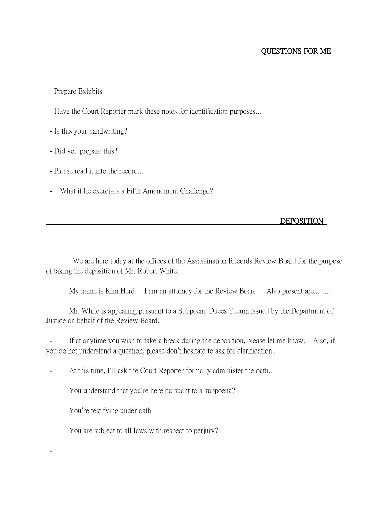- Prepare Exhibits
- Have the Court Reporter mark these notes for identification purposes...
- Is this your handwriting?
- Did you prepare this?
- Please read it into the record...
- What if he exercises a Fifth Amendment Challenge?

## DEPOSITION

We are here today at the offices of the Assassination Records Review Board for the purpose of taking the deposition of Mr. Robert White.

My name is Kim Herd. I am an attorney for the Review Board. Also present are.........

Mr. White is appearing pursuant to a Subpoena Duces Tecum issued by the Department of Justice on behalf of the Review Board.

- If at anytime you wish to take a break during the deposition, please let me know. Also, if you do not understand a question, please don't hesitate to ask for clarification..

- At this time, I'll ask the Court Reporter formally administer the oath..

You understand that you're here pursuant to a subpoena?

You're testifying under oath

-

You are subject to all laws with respect to perjury?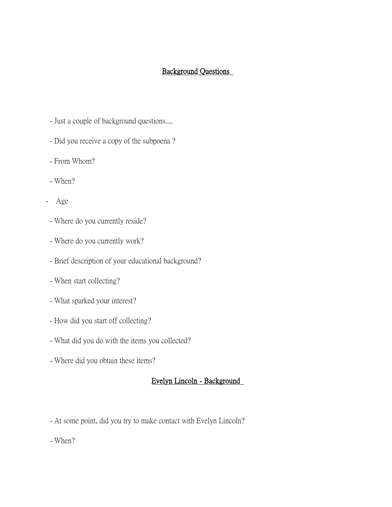# Background Questions

- Just a couple of background questions....
- Did you receive a copy of the subpoena ?
- From Whom?
- When?
- Age
	- Where do you currently reside?
- Where do you currently work?
- Brief description of your educational background?
- When start collecting?
- What sparked your interest?
- How did you start off collecting?
- What did you do with the items you collected?
- Where did you obtain these items?

#### Evelyn Lincoln - Background

- At some point, did you try to make contact with Evelyn Lincoln?

- When?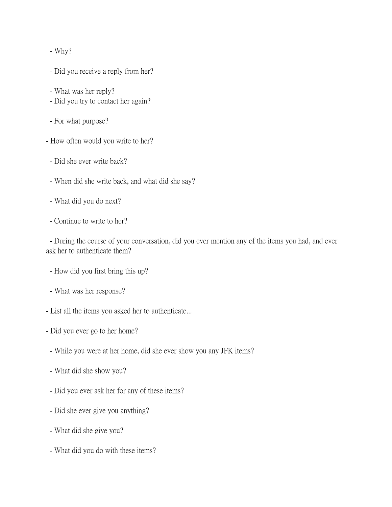- Why?

- Did you receive a reply from her?
- What was her reply?
- Did you try to contact her again?
- For what purpose?
- How often would you write to her?
- Did she ever write back?
- When did she write back, and what did she say?
- What did you do next?
- Continue to write to her?

- During the course of your conversation, did you ever mention any of the items you had, and ever ask her to authenticate them?

- How did you first bring this up?
- What was her response?
- List all the items you asked her to authenticate...
- Did you ever go to her home?
- While you were at her home, did she ever show you any JFK items?
- What did she show you?
- Did you ever ask her for any of these items?
- Did she ever give you anything?
- What did she give you?
- What did you do with these items?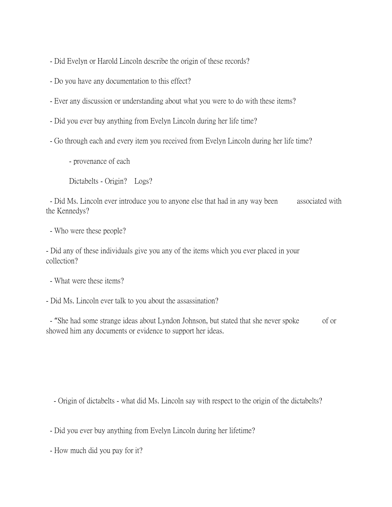- Did Evelyn or Harold Lincoln describe the origin of these records?

- Do you have any documentation to this effect?

- Ever any discussion or understanding about what you were to do with these items?

- Did you ever buy anything from Evelyn Lincoln during her life time?

- Go through each and every item you received from Evelyn Lincoln during her life time?

- provenance of each

Dictabelts - Origin? Logs?

- Did Ms. Lincoln ever introduce you to anyone else that had in any way been associated with the Kennedys?

- Who were these people?

- Did any of these individuals give you any of the items which you ever placed in your collection?

- What were these items?

- Did Ms. Lincoln ever talk to you about the assassination?

- "She had some strange ideas about Lyndon Johnson, but stated that she never spoke of or showed him any documents or evidence to support her ideas.

- Origin of dictabelts - what did Ms. Lincoln say with respect to the origin of the dictabelts?

- Did you ever buy anything from Evelyn Lincoln during her lifetime?

- How much did you pay for it?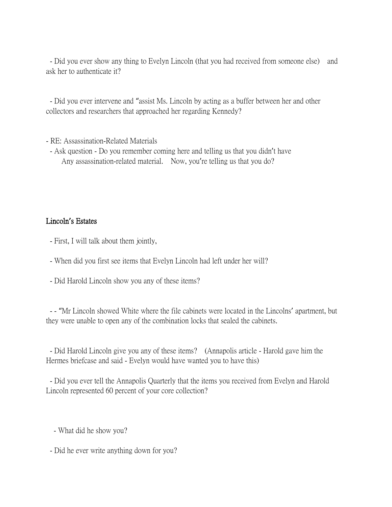- Did you ever show any thing to Evelyn Lincoln (that you had received from someone else) and ask her to authenticate it?

- Did you ever intervene and "assist Ms. Lincoln by acting as a buffer between her and other collectors and researchers that approached her regarding Kennedy?

- RE: Assassination-Related Materials
- Ask question Do you remember coming here and telling us that you didn't have Any assassination-related material. Now, you're telling us that you do?

#### Lincoln**'**s Estates

- First, I will talk about them jointly,
- When did you first see items that Evelyn Lincoln had left under her will?
- Did Harold Lincoln show you any of these items?

- - "Mr Lincoln showed White where the file cabinets were located in the Lincolns' apartment, but they were unable to open any of the combination locks that sealed the cabinets.

- Did Harold Lincoln give you any of these items? (Annapolis article - Harold gave him the Hermes briefcase and said - Evelyn would have wanted you to have this)

- Did you ever tell the Annapolis Quarterly that the items you received from Evelyn and Harold Lincoln represented 60 percent of your core collection?

- What did he show you?

- Did he ever write anything down for you?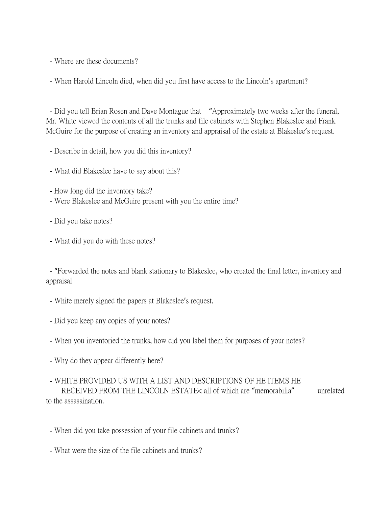- Where are these documents?

- When Harold Lincoln died, when did you first have access to the Lincoln's apartment?

- Did you tell Brian Rosen and Dave Montague that "Approximately two weeks after the funeral, Mr. White viewed the contents of all the trunks and file cabinets with Stephen Blakeslee and Frank McGuire for the purpose of creating an inventory and appraisal of the estate at Blakeslee's request.

- Describe in detail, how you did this inventory?
- What did Blakeslee have to say about this?
- How long did the inventory take?
- Were Blakeslee and McGuire present with you the entire time?
- Did you take notes?
- What did you do with these notes?

- "Forwarded the notes and blank stationary to Blakeslee, who created the final letter, inventory and appraisal

- White merely signed the papers at Blakeslee's request.
- Did you keep any copies of your notes?
- When you inventoried the trunks, how did you label them for purposes of your notes?
- Why do they appear differently here?

## - WHITE PROVIDED US WITH A LIST AND DESCRIPTIONS OF HE ITEMS HE

 RECEIVED FROM THE LINCOLN ESTATE< all of which are "memorabilia" unrelated to the assassination.

- When did you take possession of your file cabinets and trunks?
- What were the size of the file cabinets and trunks?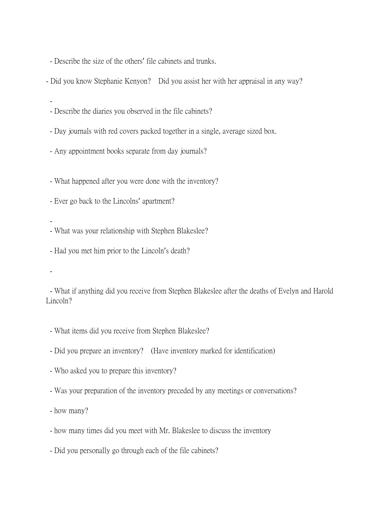- Describe the size of the others' file cabinets and trunks.

- Did you know Stephanie Kenyon? Did you assist her with her appraisal in any way?

- Describe the diaries you observed in the file cabinets?

- Day journals with red covers packed together in a single, average sized box.

- Any appointment books separate from day journals?

- What happened after you were done with the inventory?

- Ever go back to the Lincolns' apartment?

-

-

- What was your relationship with Stephen Blakeslee?

- Had you met him prior to the Lincoln's death?

-

- What if anything did you receive from Stephen Blakeslee after the deaths of Evelyn and Harold Lincoln?

- What items did you receive from Stephen Blakeslee?
- Did you prepare an inventory? (Have inventory marked for identification)
- Who asked you to prepare this inventory?
- Was your preparation of the inventory preceded by any meetings or conversations?

- how many?

- how many times did you meet with Mr. Blakeslee to discuss the inventory
- Did you personally go through each of the file cabinets?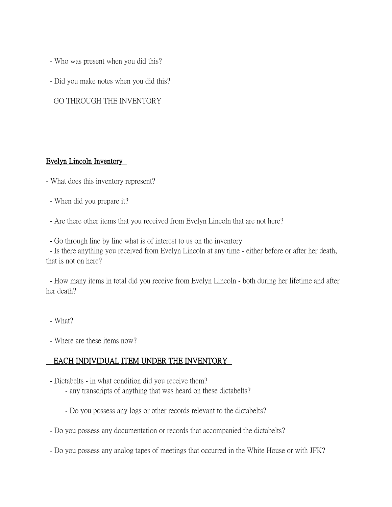- Who was present when you did this?
- Did you make notes when you did this?

GO THROUGH THE INVENTORY

#### Evelyn Lincoln Inventory

- What does this inventory represent?
- When did you prepare it?
- Are there other items that you received from Evelyn Lincoln that are not here?
- Go through line by line what is of interest to us on the inventory

- Is there anything you received from Evelyn Lincoln at any time - either before or after her death, that is not on here?

- How many items in total did you receive from Evelyn Lincoln - both during her lifetime and after her death?

- What?
- Where are these items now?

## EACH INDIVIDUAL ITEM UNDER THE INVENTORY

- Dictabelts in what condition did you receive them?
	- any transcripts of anything that was heard on these dictabelts?
	- Do you possess any logs or other records relevant to the dictabelts?
- Do you possess any documentation or records that accompanied the dictabelts?
- Do you possess any analog tapes of meetings that occurred in the White House or with JFK?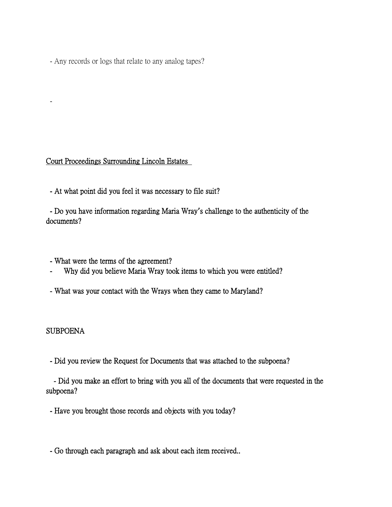- Any records or logs that relate to any analog tapes?

#### Court Proceedings Surrounding Lincoln Estates

- At what point did you feel it was necessary to file suit?

 - Do you have information regarding Maria Wray**'**s challenge to the authenticity of the documents?

- What were the terms of the agreement?
- Why did you believe Maria Wray took items to which you were entitled?
- What was your contact with the Wrays when they came to Maryland?

#### SUBPOENA

-

- Did you review the Request for Documents that was attached to the subpoena?

 - Did you make an effort to bring with you all of the documents that were requested in the subpoena?

- Have you brought those records and objects with you today?

- Go through each paragraph and ask about each item received..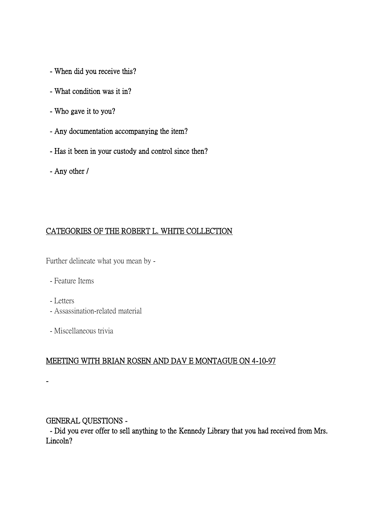- When did you receive this?
- What condition was it in?
- Who gave it to you?
- Any documentation accompanying the item?
- Has it been in your custody and control since then?
- Any other /

# CATEGORIES OF THE ROBERT L. WHITE COLLECTION

Further delineate what you mean by -

- Feature Items
- Letters
- Assassination-related material
- Miscellaneous trivia

## MEETING WITH BRIAN ROSEN AND DAV E MONTAGUE ON 4-10-97

-

# GENERAL QUESTIONS -

 - Did you ever offer to sell anything to the Kennedy Library that you had received from Mrs. Lincoln?